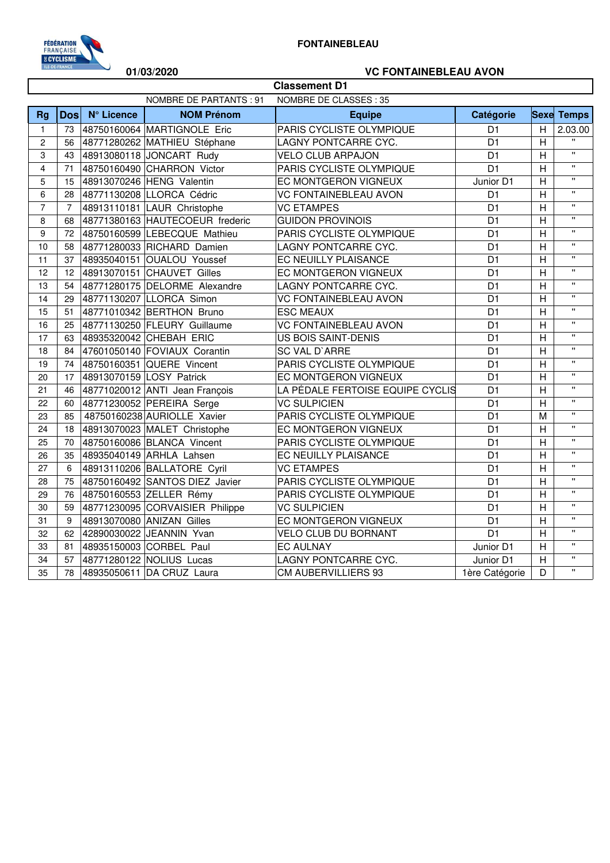

## **01/03/2020 VC FONTAINEBLEAU AVON**

| <b>Classement D1</b>    |                                                   |            |                                 |                                  |                |                |                    |  |
|-------------------------|---------------------------------------------------|------------|---------------------------------|----------------------------------|----------------|----------------|--------------------|--|
|                         | NOMBRE DE PARTANTS : 91<br>NOMBRE DE CLASSES : 35 |            |                                 |                                  |                |                |                    |  |
| <b>Rg</b>               | <b>Dos</b>                                        | N° Licence | <b>NOM Prénom</b>               | <b>Equipe</b>                    | Catégorie      |                | <b>Sexe</b> Temps  |  |
| $\mathbf{1}$            | 73                                                |            | 48750160064 MARTIGNOLE Eric     | PARIS CYCLISTE OLYMPIQUE         | D <sub>1</sub> | H              | 2.03.00            |  |
| $\overline{c}$          | 56                                                |            | 48771280262 MATHIEU Stéphane    | LAGNY PONTCARRE CYC.             | D <sub>1</sub> | H              |                    |  |
| 3                       | 43                                                |            | 48913080118 JONCART Rudy        | <b>VELO CLUB ARPAJON</b>         | D <sub>1</sub> | H              | $\mathbf{u}$       |  |
| $\overline{\mathbf{4}}$ | 71                                                |            | 48750160490 CHARRON Victor      | PARIS CYCLISTE OLYMPIQUE         | D <sub>1</sub> | H              | $\mathbf{u}$       |  |
| 5                       | 15                                                |            | 48913070246 HENG Valentin       | EC MONTGERON VIGNEUX             | Junior D1      | H              | $\mathbf{u}$       |  |
| 6                       | 28                                                |            | 48771130208 LLORCA Cédric       | <b>VC FONTAINEBLEAU AVON</b>     | D <sub>1</sub> | H              | $\mathbf{u}$       |  |
| $\overline{7}$          | $\overline{7}$                                    |            | 48913110181 LAUR Christophe     | <b>VC ETAMPES</b>                | D <sub>1</sub> | H              | $\mathbf{u}$       |  |
| 8                       | 68                                                |            | 48771380163 HAUTECOEUR frederic | <b>GUIDON PROVINOIS</b>          | D <sub>1</sub> | $\overline{H}$ | $\mathbf{u}$       |  |
| 9                       | 72                                                |            | 48750160599 LEBECQUE Mathieu    | PARIS CYCLISTE OLYMPIQUE         | D <sub>1</sub> | H              | $\mathbf{H}$       |  |
| 10                      | 58                                                |            | 48771280033 RICHARD Damien      | LAGNY PONTCARRE CYC.             | D <sub>1</sub> | $\overline{H}$ | $\pmb{\mathsf{H}}$ |  |
| 11                      | 37                                                |            | 48935040151 OUALOU Youssef      | EC NEUILLY PLAISANCE             | D <sub>1</sub> | $\overline{H}$ | $\mathbf{u}$       |  |
| 12                      | 12                                                |            | 48913070151 CHAUVET Gilles      | EC MONTGERON VIGNEUX             | D <sub>1</sub> | H              | $\mathbf{u}$       |  |
| 13                      | 54                                                |            | 48771280175 DELORME Alexandre   | LAGNY PONTCARRE CYC.             | D <sub>1</sub> | H              | $\mathbf{u}$       |  |
| 14                      | 29                                                |            | 48771130207 LLORCA Simon        | <b>VC FONTAINEBLEAU AVON</b>     | D <sub>1</sub> | $\overline{H}$ | $\mathbf{u}$       |  |
| 15                      | 51                                                |            | 48771010342 BERTHON Bruno       | <b>ESC MEAUX</b>                 | D <sub>1</sub> | H              | $\mathbf{u}$       |  |
| 16                      | 25                                                |            | 48771130250 FLEURY Guillaume    | <b>VC FONTAINEBLEAU AVON</b>     | D <sub>1</sub> | H              | $\mathbf{u}$       |  |
| 17                      | 63                                                |            | 48935320042 CHEBAH ERIC         | <b>US BOIS SAINT-DENIS</b>       | D <sub>1</sub> | H              | $\mathbf{u}$       |  |
| 18                      | 84                                                |            | 47601050140 FOVIAUX Corantin    | SC VAL D'ARRE                    | D <sub>1</sub> | $\overline{H}$ | $\mathbf{u}$       |  |
| 19                      | 74                                                |            | 48750160351 QUERE Vincent       | PARIS CYCLISTE OLYMPIQUE         | D <sub>1</sub> | H              | $\pmb{\mathsf{u}}$ |  |
| 20                      | 17                                                |            | 48913070159 LOSY Patrick        | EC MONTGERON VIGNEUX             | D <sub>1</sub> | $\overline{H}$ | $\mathbf{u}$       |  |
| 21                      | 46                                                |            | 48771020012 ANTI Jean François  | LA PÉDALE FERTOISE EQUIPE CYCLIS | D <sub>1</sub> | H              | $\mathbf{u}$       |  |
| 22                      | 60                                                |            | 48771230052 PEREIRA Serge       | <b>VC SULPICIEN</b>              | D <sub>1</sub> | H              | $\mathbf{u}$       |  |
| 23                      | 85                                                |            | 48750160238 AURIOLLE Xavier     | PARIS CYCLISTE OLYMPIQUE         | D <sub>1</sub> | M              | $\mathbf{u}$       |  |
| 24                      | 18                                                |            | 48913070023 MALET Christophe    | EC MONTGERON VIGNEUX             | D <sub>1</sub> | H              | $\mathbf{u}$       |  |
| 25                      | 70                                                |            | 48750160086 BLANCA Vincent      | PARIS CYCLISTE OLYMPIQUE         | D <sub>1</sub> | H              | $\mathbf{u}$       |  |
| 26                      | 35                                                |            | 48935040149 ARHLA Lahsen        | EC NEUILLY PLAISANCE             | D <sub>1</sub> | H              | $\pmb{\mathsf{H}}$ |  |
| 27                      | 6                                                 |            | 48913110206 BALLATORE Cyril     | <b>VC ETAMPES</b>                | D <sub>1</sub> | H              | $\mathbf{u}$       |  |
| 28                      | 75                                                |            | 48750160492 SANTOS DIEZ Javier  | PARIS CYCLISTE OLYMPIQUE         | D <sub>1</sub> | $\overline{H}$ | $\mathbf{u}$       |  |
| 29                      | 76                                                |            | 48750160553 ZELLER Rémy         | PARIS CYCLISTE OLYMPIQUE         | D <sub>1</sub> | H              | $\mathbf{u}$       |  |
| 30                      | 59                                                |            | 48771230095 CORVAISIER Philippe | <b>VC SULPICIEN</b>              | D <sub>1</sub> | H              | $\mathbf{u}$       |  |
| 31                      | 9                                                 |            | 48913070080 ANIZAN Gilles       | EC MONTGERON VIGNEUX             | D <sub>1</sub> | H              | $\pmb{\mathsf{H}}$ |  |
| 32                      | 62                                                |            | 42890030022 JEANNIN Yvan        | <b>VELO CLUB DU BORNANT</b>      | D <sub>1</sub> | $\overline{H}$ | $\mathbf{u}$       |  |
| 33                      | 81                                                |            | 48935150003 CORBEL Paul         | <b>EC AULNAY</b>                 | Junior D1      | H              | $\bar{\mathbf{u}}$ |  |
| 34                      | 57                                                |            | 48771280122 NOLIUS Lucas        | LAGNY PONTCARRE CYC.             | Junior D1      | $\overline{H}$ | $\bar{\mathbf{u}}$ |  |
| 35                      | 78                                                |            | 48935050611 DA CRUZ Laura       | CM AUBERVILLIERS 93              | 1ère Catégorie | D              | $\mathbf{u}$       |  |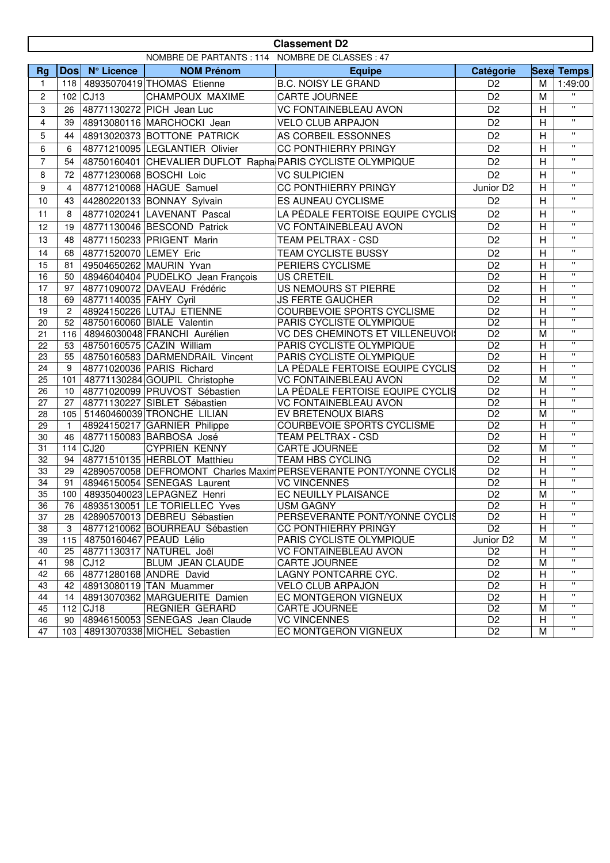|                | <b>Classement D2</b>                            |                        |                                   |                                                                    |                       |                         |                              |  |  |
|----------------|-------------------------------------------------|------------------------|-----------------------------------|--------------------------------------------------------------------|-----------------------|-------------------------|------------------------------|--|--|
|                | NOMBRE DE PARTANTS : 114 NOMBRE DE CLASSES : 47 |                        |                                   |                                                                    |                       |                         |                              |  |  |
| <b>Rg</b>      |                                                 | Dos N° Licence         | <b>NOM Prénom</b>                 | <b>Equipe</b>                                                      | Catégorie             |                         | <b>Sexe Temps</b>            |  |  |
| $\mathbf{1}$   | 118                                             |                        | 48935070419 THOMAS Etienne        | <b>B.C. NOISY LE GRAND</b>                                         | D <sub>2</sub>        | M                       | 1:49:00                      |  |  |
| $\overline{c}$ | 102                                             | CJ13                   | CHAMPOUX MAXIME                   | <b>CARTE JOURNEE</b>                                               | D <sub>2</sub>        | M                       | $\mathbf{H}$                 |  |  |
| 3              | 26                                              |                        | 48771130272 PICH Jean Luc         | <b>VC FONTAINEBLEAU AVON</b>                                       | D <sub>2</sub>        | H                       | $\mathbf{u}$                 |  |  |
| 4              | 39                                              |                        | 48913080116 MARCHOCKI Jean        | <b>VELO CLUB ARPAJON</b>                                           | D <sub>2</sub>        | H                       | $\mathbf{H}$                 |  |  |
|                | 44                                              |                        | 48913020373 BOTTONE PATRICK       | AS CORBEIL ESSONNES                                                | D <sub>2</sub>        |                         | $\pmb{\mathsf{H}}$           |  |  |
| 5              |                                                 |                        |                                   |                                                                    |                       | H                       | $\mathbf{H}$                 |  |  |
| 6              | 6                                               |                        | 48771210095 LEGLANTIER Olivier    | <b>CC PONTHIERRY PRINGY</b>                                        | D <sub>2</sub>        | H                       | $\mathbf{u}$                 |  |  |
| $\overline{7}$ | 54                                              |                        |                                   | 48750160401 CHEVALIER DUFLOT Rapha PARIS CYCLISTE OLYMPIQUE        | D <sub>2</sub>        | H                       |                              |  |  |
| 8              | 72                                              |                        | 48771230068 BOSCHI Loic           | <b>VC SULPICIEN</b>                                                | D <sub>2</sub>        | H                       | $\mathbf{H}$                 |  |  |
| 9              | 4                                               |                        | 48771210068 HAGUE Samuel          | <b>CC PONTHIERRY PRINGY</b>                                        | Junior D <sub>2</sub> | H                       | $\mathbf{H}$                 |  |  |
| 10             | 43                                              |                        | 44280220133 BONNAY Sylvain        | ES AUNEAU CYCLISME                                                 | D <sub>2</sub>        | H                       | $\mathbf{H}$                 |  |  |
| 11             | 8                                               |                        | 48771020241 LAVENANT Pascal       | LA PÉDALE FERTOISE EQUIPE CYCLIS                                   | D <sub>2</sub>        | H                       | $\mathbf{H}$                 |  |  |
| 12             | 19                                              |                        | 48771130046 BESCOND Patrick       | <b>VC FONTAINEBLEAU AVON</b>                                       | D <sub>2</sub>        | H                       | $\mathbf{H}$                 |  |  |
| 13             | 48                                              |                        | 48771150233 PRIGENT Marin         | <b>TEAM PELTRAX - CSD</b>                                          | D <sub>2</sub>        | H                       | $\mathbf{H}$                 |  |  |
| 14             | 68                                              | 48771520070 LEMEY Eric |                                   | TEAM CYCLISTE BUSSY                                                | D <sub>2</sub>        | H                       | $\mathbf{H}$                 |  |  |
| 15             | 81                                              |                        | 49504650262 MAURIN Yvan           | <b>PERIERS CYCLISME</b>                                            | D <sub>2</sub>        | H                       | $\mathbf{H}$                 |  |  |
| 16             | 50                                              |                        | 48946040404 PUDELKO Jean Francois | <b>US CRETEIL</b>                                                  | D <sub>2</sub>        | H                       | $\mathbf{H}$                 |  |  |
| 17             | 97                                              |                        | 48771090072 DAVEAU Frédéric       | US NEMOURS ST PIERRE                                               | D <sub>2</sub>        | H                       | $\mathbf{H}$                 |  |  |
| 18             | 69                                              | 48771140035 FAHY Cyril |                                   | <b>JS FERTE GAUCHER</b>                                            | $\overline{D2}$       | $\overline{H}$          | $\mathbf{H}$                 |  |  |
| 19             | $\overline{c}$                                  |                        | 48924150226 LUTAJ ETIENNE         | <b>COURBEVOIE SPORTS CYCLISME</b>                                  | $\overline{D2}$       | H                       | $\mathbf{H}$                 |  |  |
| 20             | 52                                              |                        | 48750160060 BIALE Valentin        | PARIS CYCLISTE OLYMPIQUE                                           | $\overline{D2}$       | H                       | $\overline{\mathbf{u}}$      |  |  |
| 21             | 116                                             |                        | 48946030048 FRANCHI Aurélien      | <b>VC DES CHEMINOTS ET VILLENEUVOI:</b>                            | D <sub>2</sub>        | M                       | $\mathbf{H}$                 |  |  |
| 22             | 53                                              |                        | 48750160575 CAZIN William         | PARIS CYCLISTE OLYMPIQUE                                           | $\overline{D2}$       | H                       | $\mathbf{H}$                 |  |  |
| 23             | 55                                              |                        | 48750160583 DARMENDRAIL Vincent   | PARIS CYCLISTE OLYMPIQUE                                           | D <sub>2</sub>        | H                       | $\mathbf{H}$                 |  |  |
| 24             | 9                                               |                        | 48771020036 PARIS Richard         | LA PÉDALE FERTOISE EQUIPE CYCLIS                                   | D <sub>2</sub>        | H                       | $\mathbf{H}$                 |  |  |
| 25             | 101                                             |                        | 48771130284 GOUPIL Christophe     | <b>VC FONTAINEBLEAU AVON</b>                                       | D <sub>2</sub>        | M                       | $\mathbf{H}$                 |  |  |
| 26             | 10                                              |                        | 48771020099 PRUVOST Sébastien     | LA PÉDALE FERTOISE EQUIPE CYCLIS                                   | D <sub>2</sub>        | H                       | $\mathbf{H}$                 |  |  |
| 27             | 27                                              |                        | 48771130227 SIBLET Sébastien      | <b>VC FONTAINEBLEAU AVON</b>                                       | $\overline{D2}$       | H                       | $\overline{\mathbf{u}}$      |  |  |
| 28             | 105                                             |                        | 51460460039 TRONCHE LILIAN        | EV BRETENOUX BIARS                                                 | $\overline{D2}$       | M                       | $\overline{\mathbf{u}}$      |  |  |
| 29             | $\mathbf{1}$                                    |                        | 48924150217 GARNIER Philippe      | COURBEVOIE SPORTS CYCLISME                                         | D <sub>2</sub>        | H                       | $\mathbf{H}$                 |  |  |
| 30             | 46                                              |                        | 48771150083 BARBOSA José          | <b>TEAM PELTRAX - CSD</b>                                          | D <sub>2</sub>        | H                       | $\mathbf{H}$                 |  |  |
| 31             | 114                                             | CJ <sub>20</sub>       | <b>CYPRIEN KENNY</b>              | <b>CARTE JOURNEE</b>                                               | D <sub>2</sub>        | M                       | $\mathbf{H}$                 |  |  |
| 32             | 94                                              |                        | 48771510135 HERBLOT Matthieu      | <b>TEAM HBS CYCLING</b>                                            | D <sub>2</sub>        | H                       | $\mathbf{H}$                 |  |  |
| 33             | 29                                              |                        |                                   | 42890570058 DEFROMONT Charles Maxim PERSEVERANTE PONT/YONNE CYCLIS | $\overline{D2}$       | H                       | $\mathbf{H}$                 |  |  |
| 34             | 91                                              |                        | 48946150054 SENEGAS Laurent       | <b>VC VINCENNES</b>                                                | D <sub>2</sub>        | H                       | $\mathbf{H}$                 |  |  |
| 35             |                                                 |                        | 100 48935040023 LEPAGNEZ Henri    | EC NEUILLY PLAISANCE                                               | D2                    | $\overline{\mathsf{M}}$ | $\overline{\mathbf{u}}$      |  |  |
| 36             | 76                                              |                        | 48935130051 LE TORIELLEC Yves     | <b>USM GAGNY</b>                                                   | D <sub>2</sub>        | H                       | $\mathbf{H}$                 |  |  |
| 37             | 28                                              |                        | 42890570013 DEBREU Sébastien      | PERSEVERANTE PONT/YONNE CYCLIS                                     | D <sub>2</sub>        | H                       | $\mathbf{H}$                 |  |  |
| 38             | 3                                               |                        | 48771210062 BOURREAU Sébastien    | <b>CC PONTHIERRY PRINGY</b>                                        | D <sub>2</sub>        | H                       | $\pmb{\mathsf{H}}$           |  |  |
| 39             | 115                                             |                        | 48750160467 PEAUD Lélio           | PARIS CYCLISTE OLYMPIQUE                                           | Junior D2             | M                       | $\mathbf{H}$                 |  |  |
| 40             | 25                                              |                        | 48771130317 NATUREL Joël          | <b>VC FONTAINEBLEAU AVON</b>                                       | D <sub>2</sub>        | H                       | $\mathbf{H}$                 |  |  |
| 41             | 98                                              | CJ <sub>12</sub>       | BLUM JEAN CLAUDE                  | CARTE JOURNEE                                                      | D <sub>2</sub>        | M                       | $\mathbf{H}$                 |  |  |
| 42             | 66                                              |                        | 48771280168 ANDRE David           | LAGNY PONTCARRE CYC.                                               | D <sub>2</sub>        | H                       | $\mathbf{H}$<br>$\mathbf{H}$ |  |  |
| 43             | 42                                              |                        | 48913080119 TAN Muammer           | <b>VELO CLUB ARPAJON</b>                                           | D <sub>2</sub>        | H                       | $\mathbf{H}$                 |  |  |
| 44             | 14                                              |                        | 48913070362 MARGUERITE Damien     | EC MONTGERON VIGNEUX                                               | D <sub>2</sub>        | H                       | $\mathbf{H}$                 |  |  |
| 45             |                                                 | 112 $ CJ18 $           | REGNIER GERARD                    | <b>CARTE JOURNEE</b>                                               | D <sub>2</sub>        | M                       | $\mathbf{H}$                 |  |  |
| 46             | 90                                              |                        | 48946150053 SENEGAS Jean Claude   | <b>VC VINCENNES</b>                                                | D <sub>2</sub>        | H                       | $\mathbf{H}$                 |  |  |
| 47             | 103                                             |                        | 48913070338 MICHEL Sebastien      | EC MONTGERON VIGNEUX                                               | D <sub>2</sub>        | M                       |                              |  |  |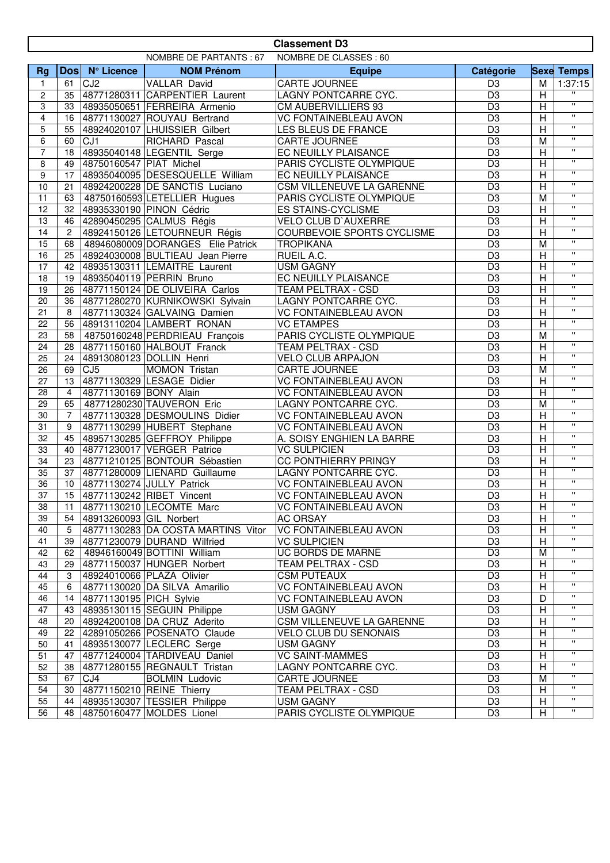|                         | <b>Classement D3</b>                             |                         |                                    |                              |                 |                |                         |  |
|-------------------------|--------------------------------------------------|-------------------------|------------------------------------|------------------------------|-----------------|----------------|-------------------------|--|
|                         | NOMBRE DE PARTANTS: 67<br>NOMBRE DE CLASSES : 60 |                         |                                    |                              |                 |                |                         |  |
| <b>Rg</b>               |                                                  | Dos N° Licence          | <b>NOM Prénom</b>                  | <b>Equipe</b>                | Catégorie       |                | <b>Sexe Temps</b>       |  |
| $\mathbf{1}$            | 61                                               | CJ <sub>2</sub>         | VALLAR David                       | CARTE JOURNEE                | D <sub>3</sub>  | M              | 1:37:15                 |  |
| $\overline{c}$          | 35                                               |                         | 48771280311 CARPENTIER Laurent     | LAGNY PONTCARRE CYC.         | $\overline{D3}$ | H              | $\pmb{\mathsf{u}}$      |  |
| 3                       | 33                                               |                         | 48935050651 FERREIRA Armenio       | <b>CM AUBERVILLIERS 93</b>   | D <sub>3</sub>  | H              | $\mathbf{H}$            |  |
| $\overline{\mathbf{4}}$ | 16                                               |                         | 48771130027 ROUYAU Bertrand        | <b>VC FONTAINEBLEAU AVON</b> | D <sub>3</sub>  | $\overline{H}$ | $\mathbf{u}$            |  |
| 5                       | 55                                               |                         | 48924020107 LHUISSIER Gilbert      | LES BLEUS DE FRANCE          | $\overline{D3}$ | $\overline{H}$ | $\overline{\mathbf{u}}$ |  |
| $\,6$                   | 60                                               | CJ <sub>1</sub>         | RICHARD Pascal                     | CARTE JOURNEE                | $\overline{D3}$ | $\overline{M}$ | $\mathbf{H}$            |  |
| $\overline{7}$          | 18                                               |                         | 48935040148 LEGENTIL Serge         | EC NEUILLY PLAISANCE         | D3              | $\overline{H}$ | $\overline{\mathbf{u}}$ |  |
| 8                       | 49                                               | 48750160547 PIAT Michel |                                    | PARIS CYCLISTE OLYMPIQUE     | D <sub>3</sub>  | $\overline{H}$ | $\mathbf{H}$            |  |
| 9                       | 17                                               |                         | 48935040095 DESESQUELLE William    | EC NEUILLY PLAISANCE         | $\overline{D3}$ | $\overline{H}$ | $\overline{\mathbf{u}}$ |  |
| 10                      | 21                                               |                         | 48924200228 DE SANCTIS Luciano     | CSM VILLENEUVE LA GARENNE    | D <sub>3</sub>  | H              | $\mathbf{H}$            |  |
| 11                      | 63                                               |                         | 48750160593 LETELLIER Hugues       | PARIS CYCLISTE OLYMPIQUE     | $\overline{D3}$ | M              | $\overline{\mathbf{u}}$ |  |
| 12                      | 32                                               |                         | 48935330190 PINON Cédric           | <b>ES STAINS-CYCLISME</b>    | D <sub>3</sub>  | H              | $\mathbf{H}$            |  |
| 13                      | 46                                               |                         | 42890450295 CALMUS Régis           | VELO CLUB D'AUXERRE          | $\overline{D3}$ | $\overline{H}$ | $\mathbf{H}$            |  |
| 14                      | $\overline{c}$                                   |                         | 48924150126 LETOURNEUR Régis       | COURBEVOIE SPORTS CYCLISME   | D3              | $\overline{H}$ | $\overline{\mathbf{u}}$ |  |
| 15                      | 68                                               |                         | 48946080009 DORANGES Elie Patrick  | <b>TROPIKANA</b>             | $\overline{D3}$ | M              | $\mathbf{H}$            |  |
| 16                      | 25                                               |                         | 48924030008 BULTIEAU Jean Pierre   | RUEIL A.C.                   | D <sub>3</sub>  | H              | $\mathbf{u}$            |  |
| 17                      | 42                                               |                         | 48935130311 LEMAITRE Laurent       | <b>USM GAGNY</b>             | D <sub>3</sub>  | $\overline{H}$ | $\mathbf{H}$            |  |
| 18                      | 19                                               |                         | 48935040119 PERRIN Bruno           | EC NEUILLY PLAISANCE         | D <sub>3</sub>  | $\overline{H}$ | $\mathbf{H}$            |  |
| 19                      | 26                                               |                         | 48771150124 DE OLIVEIRA Carlos     | TEAM PELTRAX - CSD           | $\overline{D3}$ | $\overline{H}$ | $\mathbf{H}$            |  |
| 20                      | 36                                               |                         | 48771280270 KURNIKOWSKI Sylvain    | LAGNY PONTCARRE CYC.         | $\overline{D3}$ | $\overline{H}$ | $\overline{\mathbf{u}}$ |  |
| 21                      | 8                                                |                         | 48771130324 GALVAING Damien        | <b>VC FONTAINEBLEAU AVON</b> | $\overline{D3}$ | $\overline{H}$ | $\mathbf{H}$            |  |
| 22                      | 56                                               |                         | 48913110204 LAMBERT RONAN          | <b>VC ETAMPES</b>            | $\overline{D3}$ | H              | $\overline{\mathbf{u}}$ |  |
| 23                      | 58                                               |                         | 48750160248 PERDRIEAU François     | PARIS CYCLISTE OLYMPIQUE     | $\overline{D3}$ | M              | $\overline{\mathbf{u}}$ |  |
| 24                      | 28                                               |                         | 48771150160 HALBOUT Franck         | TEAM PELTRAX - CSD           | $\overline{D3}$ | H              | $\mathbf{H}$            |  |
| 25                      | 24                                               |                         | 48913080123 DOLLIN Henri           | <b>VELO CLUB ARPAJON</b>     | D <sub>3</sub>  | $\overline{H}$ | $\mathbf{H}$            |  |
| 26                      | 69                                               | CJ <sub>5</sub>         | <b>MOMON Tristan</b>               | CARTE JOURNEE                | $\overline{D3}$ | M              | $\mathbf{H}$            |  |
| 27                      | 13                                               |                         | 48771130329 LESAGE Didier          | <b>VC FONTAINEBLEAU AVON</b> | $\overline{D3}$ | $\overline{H}$ | $\overline{\mathbf{u}}$ |  |
| 28                      | $\overline{4}$                                   | 48771130169 BONY Alain  |                                    | <b>VC FONTAINEBLEAU AVON</b> | $\overline{D3}$ | $\overline{H}$ | $\mathbf{H}$            |  |
| 29                      | 65                                               |                         | 48771280230 TAUVERON Eric          | LAGNY PONTCARRE CYC.         | D <sub>3</sub>  | M              | $\mathbf{u}$            |  |
| 30                      | $\overline{7}$                                   |                         | 48771130328 DESMOULINS Didier      | <b>VC FONTAINEBLEAU AVON</b> | D <sub>3</sub>  | H              | $\mathbf{H}$            |  |
| 31                      | 9                                                |                         | 48771130299 HUBERT Stephane        | <b>VC FONTAINEBLEAU AVON</b> | D <sub>3</sub>  | H              | $\mathbf{H}$            |  |
| $\overline{32}$         | 45                                               |                         | 48957130285 GEFFROY Philippe       | A. SOISY ENGHIEN LA BARRE    | D <sub>3</sub>  | $\overline{H}$ | $\mathbf{H}$            |  |
| 33                      | 40                                               |                         | 48771230017 VERGER Patrice         | <b>VC SULPICIEN</b>          | D <sub>3</sub>  | H              | $\pmb{\mathsf{H}}$      |  |
| 34                      | 23                                               |                         | 48771210125 BONTOUR Sébastien      | <b>CC PONTHIERRY PRINGY</b>  | D <sub>3</sub>  | H              | $\mathbf{u}$            |  |
| 35                      | 37                                               |                         | 48771280009 LIENARD Guillaume      | LAGNY PONTCARRE CYC.         | $\overline{D3}$ | $\overline{H}$ | $\overline{\mathbf{u}}$ |  |
| $\overline{36}$         | 10                                               |                         | 48771130274 JULLY Patrick          | <b>VC FONTAINEBLEAU AVON</b> | $\overline{D3}$ | $\overline{H}$ | $\overline{\mathbf{u}}$ |  |
| $\overline{37}$         |                                                  |                         | 15 48771130242 RIBET Vincent       | <b>VC FONTAINEBLEAU AVON</b> | D <sub>3</sub>  | $\overline{H}$ | $\mathbf{H}$            |  |
| 38                      | 11                                               |                         | 48771130210 LECOMTE Marc           | VC FONTAINEBLEAU AVON        | D <sub>3</sub>  | H              | $\mathbf{H}$            |  |
| 39                      | 54                                               | 48913260093 GIL Norbert |                                    | AC ORSAY                     | D <sub>3</sub>  | H              |                         |  |
| 40                      | 5                                                |                         | 48771130283 DA COSTA MARTINS Vitor | <b>VC FONTAINEBLEAU AVON</b> | D <sub>3</sub>  | Н              | $\pmb{\mathsf{H}}$      |  |
| 41                      | 39                                               |                         | 48771230079 DURAND Wilfried        | <b>VC SULPICIEN</b>          | $\overline{D3}$ | H              | $\mathbf{H}$            |  |
| 42                      | 62                                               |                         | 48946160049 BOTTINI William        | UC BORDS DE MARNE            | D <sub>3</sub>  | M              | $\mathbf{H}$            |  |
| 43                      | 29                                               |                         | 48771150037 HUNGER Norbert         | TEAM PELTRAX - CSD           | D <sub>3</sub>  | H              | $\mathbf{H}$            |  |
| 44                      | 3                                                |                         | 48924010066 PLAZA Olivier          | <b>CSM PUTEAUX</b>           | $\overline{D3}$ | Η              | $\mathbf{H}$            |  |
| 45                      | 6                                                |                         | 48771130020 DA SILVA Amarilio      | <b>VC FONTAINEBLEAU AVON</b> | $\overline{D3}$ | H              | $\mathbf{H}$            |  |
| 46                      | 14                                               | 48771130195 PICH Sylvie |                                    | <b>VC FONTAINEBLEAU AVON</b> | D <sub>3</sub>  | D              | н.                      |  |
| 47                      | 43                                               |                         | 48935130115 SEGUIN Philippe        | <b>USM GAGNY</b>             | D <sub>3</sub>  | Н              | $\pmb{\mathsf{H}}$      |  |
| 48                      | 20                                               |                         | 48924200108 DA CRUZ Aderito        | CSM VILLENEUVE LA GARENNE    | D <sub>3</sub>  | Η              | $\pmb{\mathsf{H}}$      |  |
| 49                      | 22                                               |                         | 42891050266 POSENATO Claude        | <b>VELO CLUB DU SENONAIS</b> | D <sub>3</sub>  | H              | $\mathbf{H}$            |  |
| 50                      | 41                                               |                         | 48935130077 LECLERC Serge          | <b>USM GAGNY</b>             | $\overline{D3}$ | H              | $\mathbf{H}$            |  |
| 51                      | 47                                               |                         | 48771240004 TARDIVEAU Daniel       | <b>VC SAINT-MAMMES</b>       | D <sub>3</sub>  | H              | $\mathbf{H}$            |  |
| 52                      | 38                                               |                         | 48771280155 REGNAULT Tristan       | LAGNY PONTCARRE CYC.         | $\overline{D3}$ | H              | $\mathbf{H}$            |  |
| 53                      | 67                                               | CJ4                     | <b>BOLMIN Ludovic</b>              | <b>CARTE JOURNEE</b>         | D <sub>3</sub>  | M              | н.                      |  |
| 54                      | 30                                               |                         | 48771150210 REINE Thierry          | TEAM PELTRAX - CSD           | D <sub>3</sub>  | Н              | н.                      |  |
| 55                      | 44                                               |                         | 48935130307 TESSIER Philippe       | <b>USM GAGNY</b>             | D <sub>3</sub>  | Н              | $\mathbf{H}$            |  |
| 56                      | 48                                               |                         | 48750160477 MOLDES Lionel          | PARIS CYCLISTE OLYMPIQUE     | D <sub>3</sub>  | Н              | $\pmb{\mathsf{H}}$      |  |